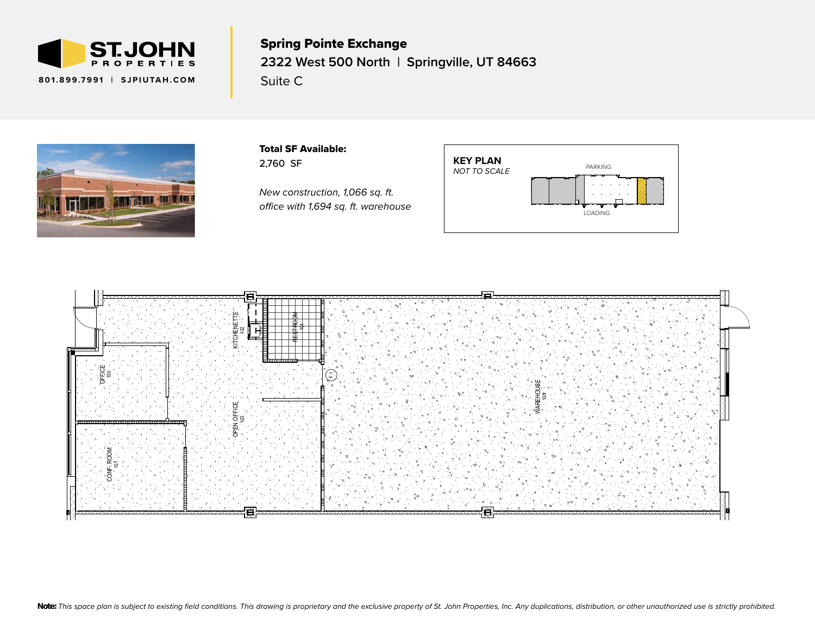

Spring Pointe Exchange **2322 West 500 North | Springville, UT 84663** Suite C NEW WS1 WASH & SEAL SEALKRETE OR EQUAL CONCRETE SEALER CLEAR  $\mathbf{F}^{2}$  it all all  $\mathbf{F}^{3}$  $\mathsf{m}$   $\mathsf{a}$   $\mathsf{b}$   $\mathsf{s}$   $\mathsf{s}$   $\mathsf{c}$  $P$ e $W$ elwa NEW PLASTIC LAMIN<br>NEW PLASH<br>CO e O<br>|<br>|



Total SF Available: 2,760 SF

*New construction, 1,066 sq. ft. office with 1,694 sq. ft. warehouse*